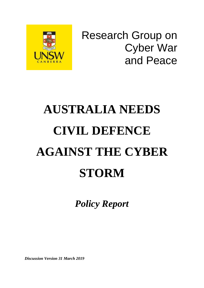

Research Group on Cyber War and Peace

# **AUSTRALIA NEEDS CIVIL DEFENCE AGAINST THE CYBER STORM**

*Policy Report* 

*Discussion Version 31 March 2019*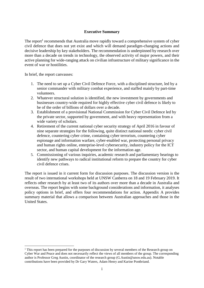#### **Executive Summary**

The report<sup>1</sup> recommends that Australia move rapidly toward a comprehensive system of cyber civil defence that does not yet exist and which will demand paradigm-changing actions and decisive leadership by key stakeholders. The recommendation is underpinned by research over more than a decade on trends in technology, the observed activity of major powers, and their active planning for wide-ranging attack on civilian infrastructure of military significance in the event of war or hostilities.

In brief, the report canvasses:

1

- 1. The need to set up a Cyber Civil Defence Force, with a disciplined structure, led by a senior commander with military combat experience, and staffed mainly by part-time volunteers.
- 2. Whatever structural solution is identified, the new investment by governments and businesses country-wide required for highly effective cyber civil defence is likely to be of the order of billions of dollars over a decade.
- 3. Establishment of a provisional National Commission for Cyber Civil Defence led by the private sector, supported by government, and with heavy representation from a wide variety of scholars.
- 4. Retirement of the current national cyber security strategy of April 2016 in favour of nine separate strategies for the following, quite distinct national needs: cyber civil defence, countering cyber crime, containing cyber terrorism, countering cyber espionage and information warfare, cyber-enabled war, protecting personal privacy and human rights online, enterprise-level cybersecurity, industry policy for the ICT sector, and human capital development for the information age.
- 5. Commissioning of various inquiries, academic research and parliamentary hearings to identify new pathways to radical institutional reform to prepare the country for cyber civil defence crises.

The report is issued in it current form for discussion purposes. The discussion version is the result of two international workshops held at UNSW Canberra on 18 and 19 February 2019. It reflects other research by at least two of its authors over more than a decade in Australia and overseas. The report begins with some background considerations and information, it analyses policy options in brief, and offers four recommendations for action. Appendix A provides summary material that allows a comparison between Australian approaches and those in the United States.

 $1$ <sup>1</sup> This report has been prepared for the purposes of discussion by several members of the Research group on Cyber War and Peace and does not necessarily reflect the views of all members of the group. The corresponding author is Professor Greg Austin, coordinator of the research group (G.Austin@unsw.edu.au). Notable contributions have been provided by Dr Gary Waters, Adam Henry and Karine Pontbriand.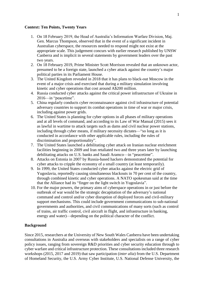#### **Context: Ten Points, Twenty Years**

- 1. On 18 February 2019, the Head of Australia's Information Warfare Division, Maj. Gen. Marcus Thompson, observed that in the event of a significant incident in Australian cyberspace, the resources needed to respond might not exist at the appropriate scale. This judgement concurs with earlier research published by UNSW Canberra and is implicit in several statements by government leaders over the past two years.
- 2. On 18 February 2019, Prime Minister Scott Morrison revealed that an unknown actor, presumed to be a foreign state, launched a cyber attack against the country's major political parties in its Parliament House.
- 3. The United Kingdom revealed in 2018 that it has plans to black-out Moscow in the event of a major crisis and exercised that during a military simulation involving kinetic and cyber operations that cost around A\$200 million.
- 4. Russia conducted cyber attacks against the critical power infrastructure of Ukraine in 2016—in "peacetime".
- 5. China regularly conducts cyber reconnaissance against civil infrastructure of potential adversary countries to support its combat operations in time of war or major crisis, including against power grids.
- 6. The United States is planning for cyber options in all phases of military operations and at all levels of command, and according to its Law of War Manual (2015) sees it as lawful in wartime to attack targets such as dams and civil nuclear power stations, including through cyber means, if military necessity dictates—"so long as it is conducted in accordance with other applicable rules, including the rules of discrimination and proportionality".
- 7. The United States launched a debilitating cyber attack on Iranian nuclear enrichment facilities beginning in 2009 and Iran retaliated two and three years later by launching debilitating attacks on U.S. banks and Saudi Aramco—in "peacetime".
- 8. Attacks on Estonia in 2007 by Russia-based hackers demonstrated the potential for cyber attacks to cripple the economy of a small country (at least temporarily).
- 9. In 1999, the United States conducted cyber attacks against the electric grid of Yugoslavia, reportedly causing simultaneous blackouts in 70 per cent of the country, through combined kinetic and cyber operations. A NATO spokesman said at the time that the Alliance had its "finger on the light switch in Yugoslavia".
- 10. For the major powers, the primary aims of cyberspace operations in or just before the outbreak of war would be the strategic decapitation of the adversary's national command and control and/or cyber disruption of deployed forces and civil-military support mechanisms. This could include government communications to sub-national governments and authorities, and civil communications of many sorts (such as control of trains, air traffic control, civil aircraft in flight, and infrastructure in banking, energy and water)—depending on the political character of the conflict.

#### **Background**

Since 2015, researchers at the University of New South Wales Canberra have been undertaking consultations in Australia and overseas with stakeholders and specialists on a range of cyber policy issues, ranging from sovereign R&D priorities and cyber security education through to cyber warfare and critical infrastructure protection. These consultations included three research workshops (2015, 2017 and 2019) that saw participation (*inter alia*) from the U.S. Department of Homeland Security, the U.S. Army Cyber Institute, U.S. National Defense University, the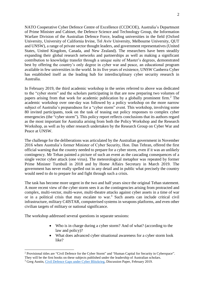NATO Cooperative Cyber Defence Centre of Excellence (CCDCOE), Australia's Department of Prime Minister and Cabinet, the Defence Science and Technology Group, the Information Warfare Division of the Australian Defence Force, leading universities in the field (Oxford University, University of California Irvine, Tel Aviv University, Melbourne University, QUT and UNSW), a range of private sector thought leaders, and government representatives (United States, United Kingdom, Canada, and New Zealand). The researchers have been steadily expanding their global research networks and partnerships as well as making a significant contribution to knowledge transfer through a unique suite of Master's degrees, demonstrated best by offering the country's only degree in cyber war and peace, an educational program available in few universities in the world. In its five years of existence, UNSW Canberra Cyber has established itself as the leading hub for interdisciplinary cyber security research in Australia.

In February 2019, the third academic workshop in the series referred to above was dedicated to the "cyber storm" and the scholars participating in that are now preparing two volumes of papers arising from that work for academic publication by a globally prominent firm.<sup>2</sup> The academic workshop over one-day was followed by a policy workshop on the more narrow subject of Australia's preparedness for a "cyber storm" event. This workshop, involving some 80 invited participants, took on the task of teasing out policy responses to complex cyber emergencies (the "cyber storm"). This policy report reflects conclusions that its authors regard as the most important for Australia arising from both the Policy Workshop and the Research Workshop, as well as by other research undertaken by the Research Group on Cyber War and Peace at UNSW.

The challenge for the deliberations was articulated by the Australian government in November 2016 when Australia's former Minister of Cyber Security, Hon. Dan Tehran, offered the first official warning that the country needed to prepare for a cyber storm, even if it was an unlikely contingency. Mr Tehan painted a picture of such an event as the cascading consequences of a single vector cyber attack (one virus). The meteorological metaphor was repeated by former Prime Minister Turnbull in 2018 and by Home Affairs Secretary in March 2019. The government has never really spelled out in any detail and in public what precisely the country would need to do to prepare for and fight through such a crisis.

The task has become more urgent in the two and half years since the original Tehan statement. A more recent view of the cyber storm sees it as the contingencies arising from protracted and complex, multi-vector, multi-wave, multi-theatre attacks against cyber assets in a time of war or in a political crisis that may escalate to war. <sup>3</sup> Such assets can include critical civil infrastructure, military C4ISTAR, computerised systems in weapons platforms, and even other civilian targets of military or national significance.

The workshop addressed several questions in separate sessions:

<u>.</u>

- Who is in charge during a cyber storm? And of what? (according to the law and policy)?
- What does advanced cyber situational awareness for a cyber storm look like?

<sup>2</sup> Provisional titles are "Civil Defence for the Cyber Storm" and "Human Capital for Security in Cyberspace".

They will be the first books on these subjects published under the leadership of Australian scholars.

<sup>3</sup> Greg Austin, [Civil Defence Gaps under Cyber Blitzkrieg,](https://www.unsw.adfa.edu.au/unsw-canberra-cyber/sites/accs/files/uploads/Cyber%20blitzkrieg%207%20Feb%202019%20CONF%20VERSION.pdf) Discussion Paper, February 2019.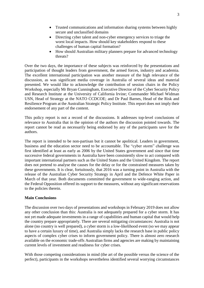- Trusted communications and information sharing systems between highly secure and unclassified domains
- Directing cyber talent and non-cyber emergency services to triage the worst local impacts. How should key stakeholders respond to these challenges of human capital formation?
- How should Australian military planners prepare for advanced technology threats?

Over the two days, the importance of these subjects was reinforced by the presentations and participation of thought leaders from government, the armed forces, industry and academia. The excellent international participation was another measure of the high relevance of the discussion, as was significant media coverage in Australia of several ideas and material presented. We would like to acknowledge the contribution of session chairs in the Policy Workshop, especially Mr Bryan Cunningham, Executive Director of the Cyber Security Policy and Research Institute at the University of California Irvine; Commander Michael Widman USN, Head of Strategy at the NATO CCDCOE; and Dr Paul Barnes, Head of the Risk and Resilience Program at the Australian Strategic Policy Institute. This report does not imply their endorsement of any part of the content.

This policy report is not a record of the discussions. It addresses top-level conclusions of relevance to Australia that in the opinion of the authors the discussion pointed towards. The report cannot be read as necessarily being endorsed by any of the participants save for the authors.

The report is intended to be non-partisan but it cannot be apolitical. Leaders in government, business and the education sector need to be accountable. The "cyber storm" challenge was first identified at least as early as 2006 by the United States government and since that time successive federal governments in Australia have been consistently slow to act compared with important international partners such as the United States and the United Kingdom. The report does not pretend to analyse the causes for the delay or for the constrained measures taken by these governments. It is clear, fortuitously, that 2016 was a turning point in Australia with the release of the Australian Cyber Security Strategy in April and the Defence White Paper in March of that year. Both documents committed the government to wide-ranging action, and the Federal Opposition offered its support to the measures, without any significant reservations to the policies therein.

#### **Main Conclusions**

The discussion over two days of presentations and workshops in February 2019 does not allow any other conclusion than this: Australia is not adequately prepared for a cyber storm. It has not yet made adequate investments in a range of capabilities and human capital that would help the country prepare appropriately. There are several mitigating circumstances: Australia is not alone (no country is well prepared), a cyber storm is a low-likelihood event (so we may appear to have a certain luxury of time), and Australia simply lacks the research base in public policy aspects of complex cyber crises to inform government policy. There is almost zero research available on the economic trade-offs Australian firms and agencies are making by maintaining current levels of investment and readiness for cyber crises.

With those competing considerations in mind (the art of the possible versus the science of the perfect), participants in the workshops nevertheless identified several worrying circumstances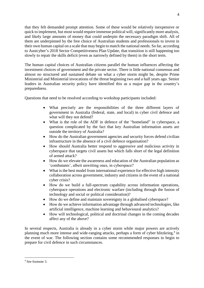that they felt demanded prompt attention. Some of these would be relatively inexpensive or quick to implement, but most would require immense political will, significantly more analysis, and likely large amounts of money that could underpin the necessary paradigm shift. All of them are underpinned by the free choice of Australian students and professionals to invest in their own human capital on a scale that may begin to match the national needs. So far, according to Austcyber's 2018 Sector Competitiveness Plan Update, that transition is still happening too slowly to repair the skills deficit (even as narrowly defined by them) in the short term.

The human capital choices of Australian citizens parallel the human influences affecting the investment choices of government and the private sector. There is little national consensus and almost no structured and sustained debate on what a cyber storm might be, despite Prime Ministerial and Ministerial invocations of the threat beginning two and a half years ago. Senior leaders in Australian security policy have identified this as a major gap in the country's preparedness.

Questions that need to be resolved according to workshop participants included:

- What precisely are the responsibilities of the three different layers of government in Australia (federal, state, and local) in cyber civil defence and what will they not defend?
- What is the role of the ADF in defence of the "homeland" in cyberspace, a question complicated by the fact that key Australian information assets are outside the territory of Australia?
- How do the Australian government agencies and security forces defend civilian infrastructure in the absence of a civil defence organisation?
- How should Australia better respond to aggressive and malicious activity in cyberspace that targets civil assets but which falls short of the legal definition of armed attack?
- How do we elevate the awareness and education of the Australian population as 'combatants', albeit unwitting ones, in cyberspace?
- What is the best model from international experience for effective high intensity collaboration across government, industry and citizens in the event of a national cyber crisis?
- How do we build a full-spectrum capability across information operations, cyberspace operations and electronic warfare (including through the fusion of technology and social or political consideration)?
- How do we define and maintain sovereignty in a globalised cyberspace?
- How do we achieve information advantage through advanced technologies, like artificial intelligence, machine learning and behavioural analytics?
- How will technological, political and doctrinal changes in the coming decades affect any of the above?

In several respects, Australia is already in a cyber storm while major powers are actively planning much more intense and wide-ranging attacks, perhaps a form of cyber blitzkrieg,<sup>4</sup> in the event of war. The following section contains some recommended responses to begin to prepare for civil defence in such circumstances.

1

<sup>4</sup> See footnote 3.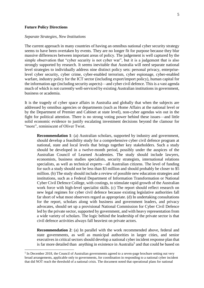#### **Future Policy Directions**

<u>.</u>

#### *Separate Strategies, New Institutions*

The current approach in many countries of having an omnibus national cyber security strategy seems to have been overtaken by events. They are no longer fit for purpose because they blur massive differences between important areas of policy. The judgement is well captured by the simple observation that "cyber security is not cyber war", but it is a judgement that is also strongly supported by research. It seems inevitable that Australia will need separate national level strategies to individually address nine distinct policy sets: personal privacy, enterpriselevel cyber security, cyber crime, cyber-enabled terrorism, cyber espionage, cyber-enabled warfare, industry policy for the ICT sector (including export/import policy), human capital for the information age (including security aspects)—and cyber civil defence. This is a vast agenda much of which is not currently well-serviced by existing Australian institutions in government, business or academia.

It is the tragedy of cyber space affairs in Australia and globally that when the subjects are addressed by omnibus agencies or departments (such as Home Affairs at the national level or by the Department of Premier and Cabinet at state level), non-cyber agendas win out in the fight for political attention. There is no strong voting power behind these issues—and little solid economic evidence to justify escalating investment decisions beyond the clamour for "more", reminiscent of Oliver Twist.

**Recommendation 1**: (a) Australian scholars, supported by industry and government, should develop a feasibility study for a comprehensive cyber civil defence program at national, state and local levels that brings together key stakeholders. Such a study should be developed in a twelve-month period, possibly under the auspices of the Australian Council of Learned Academies. The study should include lawyers, economists, business studies specialists, security strategists, international relations specialists, as well as technical experts—all Australian citizens. The level of funding for such a study should not be less than \$3 million and should probably be closer to \$5 million. (b) The study should include a review of possible new education strategies and institutions, such as a Federal Department of Information Transformation or National Cyber Civil Defence College, with costings, to stimulate rapid growth of the Australian work force with high-level specialist skills. (c) The report should reflect research on new legal regimes for cyber civil defence because existing legislative authorities fall far short of what most observers regard as appropriate. (d) In undertaking consultations for the report, scholars along with business and government leaders, and privacy advocates, should set up a provisional National Commission for Cyber Civil Defence led by the private sector, supported by government, and with heavy representation from a wide variety of scholars. The logic behind the leadership of the private sector is that civil defence activities always fall heaviest on private actors.

**Recommendation 2**: (a) In parallel with the work recommended above, federal and state governments, as well as municipal authorities in larger cities, and senior executives in critical sectors should develop a national cyber incident response plan that is far more detailed than anything in existence in Australia<sup>5</sup> and that could be based on

<sup>&</sup>lt;sup>5</sup> In December 2018, the Council of Australian governments agreed to a seven-page brochure setting out very broad arrangements, applicable only to governments, for coordination in responding to a national cyber incident that did NOT reach the threshold of a national crisis. The document noted that operational plans for national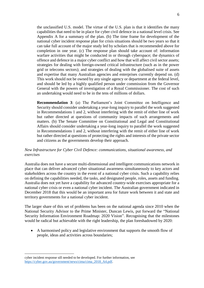the unclassified U.S. model. The virtue of the U.S. plan is that it identifies the many capabilities that need to be in place for cyber civil defence in a national level crisis. See Appendix A for a summary of the plan. (b) The time frame for development of the national cyber incident response plan for crisis situations should be two years so that it can take full account of the major study led by scholars that is recommended above for completion in one year. (c) The response plan should take account of: information warfare activities that might be conducted in or through cyberspace; the dynamics of offence and defence in a major cyber conflict and how that will affect civil sector assets; strategies for dealing with foreign-owned critical infrastructure (such as in the power grid or telecoms sectors); and strategies of dealing with the globalised suite of assets and expertise that many Australian agencies and enterprises currently depend on. (d) This work should not be owned by any single agency or department at the federal level, and should be led by a highly qualified person under commission from the Governor General with the powers of investigation of a Royal Commissioner. The cost of such an undertaking would need to be in the tens of millions of dollars.

**Recommendation 3**: (a) The Parliament's Joint Committee on Intelligence and Security should consider undertaking a year-long inquiry to parallel the work suggested in Recommendations 1 and 2, without interfering with the remit of either line of work but rather directed at questions of community impacts of such arrangements and matters. (b) The Senate Committee on Constitutional and Legal and Constitutional Affairs should consider undertaking a year-long inquiry to parallel the work suggested in Recommendations 1 and 2, without interfering with the remit of either line of work but rather directed at questions of protecting the rights and interests of the private sector and citizens as the governments develop their approach.

#### *New Infrastructure for Cyber Civil Defence: communications, situational awareness, and exercises*

Australia does not have a secure multi-dimensional and intelligent communications network in place that can deliver advanced cyber situational awareness simultaneously to key actors and stakeholders across the country in the event of a national cyber crisis. Such a capability relies on defining the capabilities needed, the tasks, and designated people, roles, assets and funding. Australia does not yet have a capability for advanced country-wide exercises appropriate for a national cyber crisis or even a national cyber incident. The Australian government indicated in December 2018 that this would be an important area for future work between it and state and territory governments for a national cyber incident.

The larger share of this set of problems has been on the national agenda since 2010 when the National Security Advisor to the Prime Minister, Duncan Lewis, put forward the "National Security Information Environment Roadmap: 2020 Vision". Recognising that the milestones would be radical but achievable with the right leadership, the plan foreshadowed by 2020:

• A harmonised policy and legislative environment that supports the smooth flow of people, ideas and activities across boundaries;

1

cyber incident response sill needed to be developed. For further information, see [https://cyber.gov.au/government/news/cima/cima\\_2018\\_A4.pdf.](https://cyber.gov.au/government/news/cima/cima_2018_A4.pdf)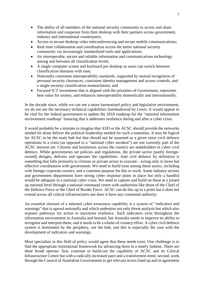- The ability of all members of the national security community to access and share information and cooperate from their desktop with their partners across government, industry and international counterparts;
- Access to secure desktop video teleconferencing and secure mobile communications;
- Real time collaboration and coordination across the entire national security community via increasingly standardised tools and applications;
- An interoperable, secure and reliable information and communications technology among and between all classification levels;
- A single computer screen and keyboard per desktop so users can switch between classification domains with ease;
- Nationally consistent interoperability standards, supported by mutual recognition of personal security clearances, consistent identity management and access controls, and a single security classification nomenclature; and
- Focused ICT investment that is aligned with the priorities of Government, represents best value for money, and enhances interoperability domestically and internationally.

In the decade since, while we can see a more harmonised policy and legislative environment, we do not see the necessary technical capabilities foreshadowed by Lewis. It would appear to be vital for the federal government to update the 2010 roadmap for the "national information environment roadmap" ensuring that it addresses resilience during and after a cyber crisis.

It would probably be a mistake to imagine that ASD or the ACSC should provide the networks needed let alone deliver the political leadership needed for such a transition. It may be logical for ACSC to be the main hub but that should not be assumed as a given since civil defence operations in a crisis (as opposed to a "national cyber incident") are not currently part of the ACSC mission set. Citizens and businesses across the country are stakeholders in cyber civil defence. While governments set policies and regulations, the private sector (partly foreignowned) designs, delivers and operates the capabilities. And civil defence by definition is something that falls primarily to citizens or private actors to execute—acting only in loose but effective coordination with government. We need to build trust among these actors, including with foreign corporate owners, and a common purpose for this to work. Some industry sectors and government departments have strong cyber response plans in place but only a handful would be adequate in a national cyber crisis. We need to capture and build on these at a joined up national level through a national command centre with authorities like those of the Chief of the Defence Force or the Chief of Border Force. ACSC can do this up to a point but it does not extend across all critical infrastructures nor does it have any command authority.

An essential element of a national cyber awareness capability is a system of "indicators and warnings" that is agreed nationally and which underpins not only threat analysis but which also exposes pathways for action to maximise resilience. Such indicators exist throughout the information environment in Australia and beyond, but Australia needs to improve its ability to recognise and interpret these; and it needs to be a whole-of-country effort. A cyber civil defence system is dominated by the periphery, not the hub, and this is especially the case with the development of indicators and warnings.

Most specialists in this field of policy would agree that these needs exist. One challenge is to find the appropriate institutional framework for advancing them in a timely fashion. There are three broad options: first, continue to build-out the capability of ACSC and its Critical Infrastructure Centre but with a radically increased pace and a transformed remit; second, work through the Council of Australian Governments to get relevant actors lined up and in agreement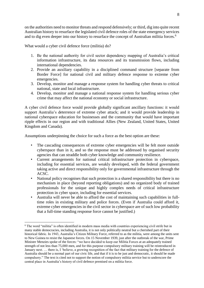on the authorities need to monitor threats and respond defensively; or third, dig into quite recent Australian history to resurface the legislated civil defence roles of the state emergency services and to dig even deeper into our history to resurface the concept of Australian militia forces.<sup>6</sup>

What would a cyber civil defence force (militia) do?

- 1. Be the national authority for civil sector dependency mapping of Australia's critical information infrastructure, its data resources and its transmission flows, including international dependencies.
- 2. Provide an auxiliary capability in a disciplined command structure [separate from Border Force] for national civil and military defence response to extreme cyber emergencies.
- 3. Develop, monitor and manage a response system for handling cyber threats to critical national, state and local infrastructure.
- 4. Develop, monitor and manage a national response system for handling serious cyber crime that may affect the national economy or social infrastructure.

A cyber civil defence force would provide globally significant ancillary functions: it would support Australia's deterrence of extreme cyber attack; and it would provide leadership in national cyberspace education for businesses and the community that would have important ripple effects in our region and with traditional Allies (New Zealand, United States, United Kingdom and Canada).

Assumptions underpinning the choice for such a force as the best option are these:

- The cascading consequences of extreme cyber emergencies will be felt more outside cyberspace than in it, and so the response must be addressed by organised security agencies that can straddle both cyber knowledge and community resilience.
- Current arrangements for national critical infrastructure protection in cyberspace, including for essential services, are weakly developed, with the federal government taking active and direct responsibility only for governmental infrastructure through the ACSC.
- National policy recognises that such protection is a shared responsibility but there is no mechanism in place (beyond reporting obligations) and no organized body of trained professionals for the unique and highly complex needs of critical infrastructure protection in cyber space, including for essential services.
- Australia will never be able to afford the cost of maintaining such capabilities in fulltime roles in existing military and police forces. (Even if Australia could afford it, extreme cyber emergencies in the civil sector in cyberspace are of such low probability that a full-time standing response force cannot be justified.)

<sup>1</sup> <sup>6</sup> The word "militia" is often identified in modern mass media with countries experiencing civil strife but in many stable democracies, including Australia, it is not only politically neutral but a cherished part of their historical fabric. In 1943, Australia's Citizen Military Force, referred to as the militia, were among the units sent to New Guinea to resist the Japanese forces. On 15 November 1939, just after the outbreak of the war, Prime Minister Menzies spoke of the forces: "we have decided to keep our Militia Forces at an adequately trained strength of not less than 75,000 men, and for this purpose compulsory military training will be reintroduced in January next. … there is, I 'believe, a growing recognition of the fact that military training for the defence of Australia should be a normal part of our civic life, and that if it is to be just and democratic, it should be made compulsory." The text is cited not to support the notion of compulsory militia service but to underscore the central place in Australia's history of civil defence premised on a militia force.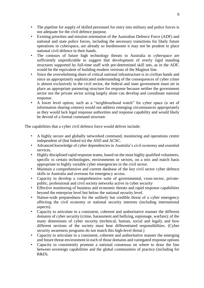- The pipeline for supply of skilled personnel for entry into military and police forces is not adequate for the civil defence purpose.
- Existing priorities and mission orientation of the Australian Defence Force (ADF) and national and state police forces, including the necessary transitions for likely future operations in cyberspace, are already so burdensome it may not be prudent to place national civil defence in their hands.
- The contours of future high technology threats to Australia in cyberspace are sufficiently unpredictable to suggest that development of overly rigid standing structures supported by full-time staff with pre-determined skill sets, as in the ADF, would be the equivalent of building modern versions of the Maginot line.
- Since the overwhelming share of critical national infrastructure is in civilian hands and since an appropriately sophisticated understanding of the consequences of cyber crime is almost exclusively in the civil sector, the federal and state government must set in place an appropriate partnering structure for response because neither the government sector nor the private sector acting largely alone can develop and coordinate national response.
- A lower level option, such as a "neighbourhood watch" for cyber space (a set of information sharing centres) would not address emerging circumstances appropriately as they would lack legal response authorities and response capability and would likely be devoid of a formal command structure.

The capabilities that a cyber civil defence force would deliver include:

- A highly secure and globally networked command, monitoring and operations centre independent of (but linked to) the ASD and ACSC.
- Advanced knowledge of cyber dependencies in Australia's civil economy and essential services.
- Highly disciplined rapid response teams, based on the most highly qualified volunteers, specific to certain technologies, environments or sectors, on a mix and match basis appropriate to highly variable cyber emergencies in the civil sector.
- Maintain a comprehensive and current database of the key civil sector cyber defence skills in Australia and overseas for emergency access.
- Capacity to develop a comprehensive suite of governmental, cross-sector, privatepublic, professional and civil society networks active in cyber security
- Effective monitoring of business and economic threats and rapid response capabilities beyond the enterprise level but below the national security level.
- Nation-wide preparedness for the unlikely but credible threat of a cyber emergency affecting the civil economy or national security interests (including international aspects).
- Capacity to articulate in a consistent, coherent and authoritative manner the different domains of cyber security (crime, harassment and bullying, espionage, warfare); of the many dimensions of cyber security (technical, human, social and legal); and how different sections of the society must bear differentiated responsibilities. (Cyber security awareness programs do not match this high-level threat.)
- Capacity to articulate in a consistent, coherent and authoritative manner the emerging and future threat environment in each of those domains and variegated response options
- Capacity to consistently promote a national consensus on where to draw the line between sovereign capabilities and the global communities of practice (including for R&D).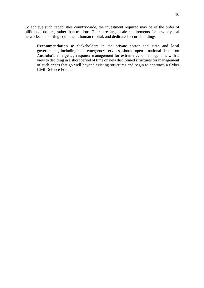To achieve such capabilities country-wide, the investment required may be of the order of billions of dollars, rather than millions. There are large scale requirements for new physical networks, supporting equipment, human capital, and dedicated secure buildings.

**Recommendation 4**: Stakeholders in the private sector and state and local governments, including state emergency services, should open a national debate on Australia's emergency response management for extreme cyber emergencies with a view to deciding in a short period of time on new disciplined structures for management of such crises that go well beyond existing structures and begin to approach a Cyber Civil Defence Force.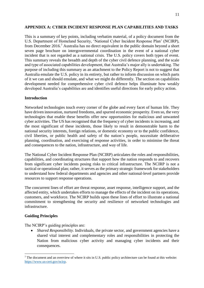#### **APPENDIX A: CYBER INCIDENT RESPONSE PLAN CAPABILITIES AND TASKS**

This is a summary of key points, including verbatim material, of a policy document from the U.S. Department of Homeland Security, 'National Cyber Incident Response Plan' (NCIRP), from December 2016.<sup>7</sup> Australia has no direct equivalent in the public domain beyond a short seven page brochure on intergovernmental coordination in the event of a national cyber incident that is not regarded as a national crisis. The U.S. policy covers both types of event. This summary reveals the breadth and depth of the cyber civil defence planning, and the scale and type of associated capabilities development, that Australia's major ally is undertaking. The purpose of including this summary as an attachment to the Policy Report is not to suggest that Australia emulate the U.S. policy in its entirety, but rather to inform discussion on which parts of it we can and should emulate, and what we might do differently. The section on capabilities development needed for comprehensive cyber civil defence helps illuminate how weakly developed Australia's capabilities are and identifies useful directions for early policy action.

#### **Introduction**

Networked technologies touch every corner of the globe and every facet of human life. They have driven innovation, nurtured freedoms, and spurred economic prosperity. Even so, the very technologies that enable these benefits offer new opportunities for malicious and unwanted cyber activities. The US has recognised that the frequency of cyber incidents is increasing, and the most significant of these incidents, those likely to result in demonstrable harm to the national security interests, foreign relations, or domestic economy or to the public confidence, civil liberties, or public health and safety of the nation's people, necessitate deliberative planning, coordination, and exercising of response activities, in order to minimise the threat and consequences to the nation, infrastructure, and way of life.

The National Cyber Incident Response Plan (NCIRP) articulates the roles and responsibilities, capabilities, and coordinating structures that support how the nation responds to and recovers from significant cyber incidents posing risks to critical infrastructure. The NCIRP is not a tactical or operational plan; rather, it serves as the primary strategic framework for stakeholders to understand how federal departments and agencies and other national-level partners provide resources to support response operations.

The concurrent lines of effort are threat response, asset response, intelligence support, and the affected entity, which undertakes efforts to manage the effects of the incident on its operations, customers, and workforce. The NCIRP builds upon these lines of effort to illustrate a national commitment to strengthening the security and resilience of networked technologies and infrastructure.

#### **Guiding Principles**

1

The NCIRP's guiding principles are:

• *Shared Responsibility*. Individuals, the private sector, and government agencies have a shared vital interest and complementary roles and responsibilities in protecting the Nation from malicious cyber activity and managing cyber incidents and their consequences.

<sup>&</sup>lt;sup>7</sup> The document and an overview of where it sits in U.S. public policy architecture can be found at this website: [https://www.us-cert.gov/ncirp.](https://www.us-cert.gov/ncirp)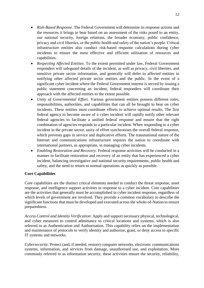- *Risk-Based Response*. The Federal Government will determine its response actions and the resources it brings to bear based on an assessment of the risks posed to an entity, our national security, foreign relations, the broader economy, public confidence, privacy and civil liberties, or the public health and safety of the nation's people. Critical infrastructure entities also conduct risk-based response calculations during cyber incidents to ensure the most effective and efficient utilisation of resources and capabilities.
- *Respecting Affected Entities*. To the extent permitted under law, Federal Government responders will safeguard details of the incident, as well as privacy, civil liberties, and sensitive private sector information, and generally will defer to affected entities in notifying other affected private sector entities and the public. In the event of a significant cyber incident where the Federal Government interest is served by issuing a public statement concerning an incident, federal responders will coordinate their approach with the affected entities to the extent possible.
- *Unity of Governmental Effort*. Various government entities possess different roles, responsibilities, authorities, and capabilities that can all be brought to bear on cyber incidents. These entities must coordinate efforts to achieve optimal results. The first federal agency to become aware of a cyber incident will rapidly notify other relevant federal agencies to facilitate a unified federal response and ensure that the right combination of agencies responds to a particular incident. When responding to a cyber incident in the private sector, unity of effort synchronises the overall federal response, which prevents gaps in service and duplicative efforts. The transnational nature of the Internet and communications infrastructure requires the nation to coordinate with international partners, as appropriate, in managing cyber incidents.
- *Enabling Restoration and Recovery*. Federal response activities will be conducted in a manner to facilitate restoration and recovery of an entity that has experienced a cyber incident, balancing investigative and national security requirements, public health and safety, and the need to return to normal operations as quickly as possible.

## **Core Capabilities**

Core capabilities are the distinct critical elements needed to conduct the threat response, asset response, and intelligence support activities in response to a cyber incident. Core capabilities are the activities that generally must be accomplished in cyber incident response, regardless of which levels of government are involved. They provide a common vocabulary to describe the significant functions that must be developed and executed across the whole-of-Nation to ensure preparedness.

*Access Control and Identity Verification*: Apply and support necessary physical, technological, and cyber measures to control admittance to critical locations and systems, which is also referred to as Authentication and Authorisation. This capability relies on the implementation and maintenance of protocols to verify identity and authorize, grant, or deny access to specific IT systems and networks.

*Cybersecurity*: Protect (and, if needed, restore) computer networks, electronic communications systems, information, and services from damage, unauthorised use, and exploitation. More commonly referred to as information security, these activities ensure the security, reliability,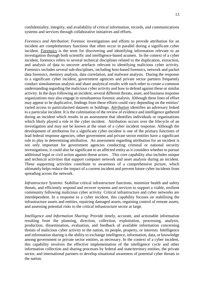confidentiality, integrity, and availability of critical information, records, and communications systems and services through collaborative initiatives and efforts.

*Forensics and Attribution*: Forensic investigations and efforts to provide attribution for an incident are complementary functions that often occur in parallel during a significant cyber incident. *Forensics* is the term for discovering and identifying information relevant to an investigation through both scientific and intelligence-based acumen. In the context of a cyber incident, forensics refers to several technical disciplines related to the duplication, extraction, and analysis of data to uncover artefacts relevant to identifying malicious cyber activity. Forensics includes several sub-disciplines, including host-based forensics, network and packet data forensics, memory analysis, data correlation, and malware analysis. During the response to a significant cyber incident, government agencies and private sector partners frequently conduct simultaneous analysis and share analytical results with each other to create a common understanding regarding the malicious cyber activity and how to defend against these or similar activity. In the days following an incident, several different threats, asset, and business response organizations may also engage in simultaneous forensic analysis. Although these lines of effort may appear to be duplicative, findings from these efforts could vary depending on the entities' varied access to particularised datasets or holdings. *Attribution* identifies an adversary linked to a particular incident. It is the culmination of the review of evidence and intelligence gathered during an incident which results in an assessment that identifies individuals or organisations which likely played a role in the cyber incident. Attribution occurs over the lifecycle of an investigation and may not be known at the onset of a cyber incident response. Although the development of attribution for a significant cyber incident is one of the primary functions of lead federal response agencies, other government and private sector entities have a significant role to play in determining attribution. An assessment regarding attribution for an incident is not only important for government agencies conducting criminal or national security investigations; it could also be significant to an affected entity as it considers whether to pursue additional legal or civil action against threat actors. This core capability also includes unique and technical activities that support computer network and asset analysis during an incident. These supporting activities contribute to awareness of a comprehensive picture, which ultimately helps reduce the impact of a current incident and prevent future cyber incidents from spreading across the network.

*Infrastructure Systems*: Stabilise critical infrastructure functions, minimize health and safety threats, and efficiently respond and recover systems and services to support a viable, resilient community following malicious cyber activity. Critical infrastructure and cyber networks are interdependent. In a response to a cyber incident, this capability focuses on stabilising the infrastructure assets and entities, repairing damaged assets, regaining control of remote assets, and assessing potential risks to the critical infrastructure sector at large.

*Intelligence and Information Sharing*: Provide timely, accurate, and actionable information resulting from the planning, direction, collection, exploitation, processing, analysis, production, dissemination, evaluation, and feedback of available information concerning threats of malicious cyber activity to the nation, its people, property, or interests. Intelligence and information sharing is the ability to exchange intelligence, information, data, or knowledge among government or private sector entities, as necessary. In the context of a cyber incident, this capability involves the effective implementation of the intelligence cycle and other information collection and sharing processes by federal and state/territory entities, the private sector, and international partners to develop situational awareness of potential cyber threats to the nation.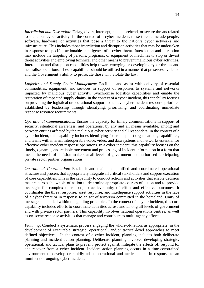*Interdiction and Disruption*: Delay, divert, intercept, halt, apprehend, or secure threats related to malicious cyber activity. In the context of a cyber incident, these threats include people, software, hardware, or activities that pose a threat to the nation's cyber networks and infrastructure. This includes those interdiction and disruption activities that may be undertaken in response to specific, actionable intelligence of a cyber threat. Interdiction and disruption may include the targeting of persons, programs, or equipment or machines to stop or thwart threat activities and employing technical and other means to prevent malicious cyber activities. Interdiction and disruption capabilities help thwart emerging or developing cyber threats and neutralise operations. These capabilities should be utilised in a manner that preserves evidence and the Government's ability to prosecute those who violate the law.

*Logistics and Supply Chain Management*: Facilitate and assist with delivery of essential commodities, equipment, and services in support of responses to systems and networks impacted by malicious cyber activity. Synchronise logistics capabilities and enable the restoration of impacted supply chains. In the context of a cyber incident, this capability focuses on providing the logistical or operational support to achieve cyber incident response priorities established by leadership through identifying, prioritising, and coordinating immediate response resource requirements.

*Operational Communications*: Ensure the capacity for timely communications in support of security, situational awareness, and operations, by any and all means available, among and between entities affected by the malicious cyber activity and all responders. In the context of a cyber incident, this capability includes identifying federal support organisations, capabilities, and teams with internal interoperable voice, video, and data systems and networks essential for effective cyber incident response operations. In a cyber incident, this capability focuses on the timely, dynamic, and reliable movement and processing of incident information in a form that meets the needs of decision makers at all levels of government and authorised participating private sector partner organisations.

*Operational Coordination*: Establish and maintain a unified and coordinated operational structure and process that appropriately integrate all critical stakeholders and support execution of core capabilities. This is the capability to conduct actions and activities that enable decision makers across the whole-of-nation to determine appropriate courses of action and to provide oversight for complex operations, to achieve unity of effort and effective outcomes. It coordinates the threat response, asset response, and intelligence support activities in the face of a cyber threat or in response to an act of terrorism committed in the homeland. Unity of message is included within the guiding principles. In the context of a cyber incident, this core capability includes efforts to coordinate activities across and among all levels of government and with private sector partners. This capability involves national operations centres, as well as on-scene response activities that manage and contribute to multi-agency efforts.

*Planning*: Conduct a systematic process engaging the whole-of-nation, as appropriate, in the development of executable strategic, operational, and/or tactical-level approaches to meet defined objectives. In the context of a cyber incident, planning includes both deliberate planning and incident action planning. Deliberate planning involves developing strategic, operational, and tactical plans to prevent, protect against, mitigate the effects of, respond to, and recover from a cyber incident. Incident action planning occurs in a time-constrained environment to develop or rapidly adapt operational and tactical plans in response to an imminent or ongoing cyber incident.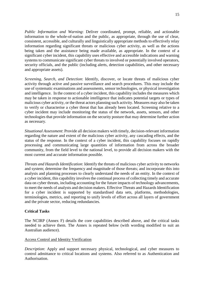*Public Information and Warning*: Deliver coordinated, prompt, reliable, and actionable information to the whole-of-nation and the public, as appropriate, through the use of clear, consistent, accessible, and culturally and linguistically appropriate methods to effectively relay information regarding significant threats or malicious cyber activity, as well as the actions being taken and the assistance being made available, as appropriate. In the context of a significant cyber incident, this capability uses effective and accessible indications and warning systems to communicate significant cyber threats to involved or potentially involved operators, security officials, and the public (including alerts, detection capabilities, and other necessary and appropriate assets).

*Screening, Search, and Detection*: Identify, discover, or locate threats of malicious cyber activity through active and passive surveillance and search procedures. This may include the use of systematic examinations and assessments, sensor technologies, or physical investigation and intelligence. In the context of a cyber incident, this capability includes the measures which may be taken in response to actionable intelligence that indicates potential targets or types of malicious cyber activity, or the threat actors planning such activity. Measures may also be taken to verify or characterise a cyber threat that has already been located. Screening relative to a cyber incident may include monitoring the status of the network, assets, sensors, and other technologies that provide information on the security posture that may determine further action as necessary.

*Situational Assessment*: Provide all decision makers with timely, decision-relevant information regarding the nature and extent of the malicious cyber activity, any cascading effects, and the status of the response. In the context of a cyber incident, this capability focuses on rapidly processing and communicating large quantities of information from across the broader community, from the field level to the national level, to provide all decision makers with the most current and accurate information possible.

*Threats and Hazards Identification*: Identify the threats of malicious cyber activity to networks and system; determine the frequency and magnitude of those threats; and incorporate this into analysis and planning processes to clearly understand the needs of an entity. In the context of a cyber incident, this capability involves the continual process of collecting timely and accurate data on cyber threats, including accounting for the future impacts of technology advancements, to meet the needs of analysts and decision makers. Effective Threats and Hazards Identification for a cyber incident is supported by standardised data sets, platforms, methodologies, terminologies, metrics, and reporting to unify levels of effort across all layers of government and the private sector, reducing redundancies.

#### **Critical Tasks**

The NCIRP (Annex F) details the core capabilities described above, and the critical tasks needed to achieve them. The Annex is repeated below (with wording modified to suit an Australian audience).

#### Access Control and Identity Verification

*Description*: Apply and support necessary physical, technological, and cyber measures to control admittance to critical locations and systems. Also referred to as Authentication and Authorisation.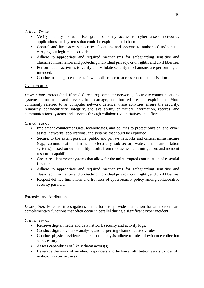# *Critical Tasks:*

- Verify identity to authorise, grant, or deny access to cyber assets, networks, applications, and systems that could be exploited to do harm.
- Control and limit access to critical locations and systems to authorised individuals carrying out legitimate activities.
- Adhere to appropriate and required mechanisms for safeguarding sensitive and classified information and protecting individual privacy, civil rights, and civil liberties.
- Perform audit activities to verify and validate security mechanisms are performing as intended.
- Conduct training to ensure staff-wide adherence to access control authorisations.

# Cybersecurity

*Description*: Protect (and, if needed, restore) computer networks, electronic communications systems, information, and services from damage, unauthorised use, and exploitation. More commonly referred to as computer network defence, these activities ensure the security, reliability, confidentiality, integrity, and availability of critical information, records, and communications systems and services through collaborative initiatives and efforts.

# *Critical Tasks:*

- Implement countermeasures, technologies, and policies to protect physical and cyber assets, networks, applications, and systems that could be exploited.
- Secure, to the extent possible, public and private networks and critical infrastructure (e.g., communication, financial, electricity sub-sector, water, and transportation systems), based on vulnerability results from risk assessment, mitigation, and incident response capabilities.
- Create resilient cyber systems that allow for the uninterrupted continuation of essential functions.
- Adhere to appropriate and required mechanisms for safeguarding sensitive and classified information and protecting individual privacy, civil rights, and civil liberties.
- Respect defined limitations and frontiers of cybersecurity policy among collaborative security partners.

# Forensics and Attribution

*Description*: Forensic investigations and efforts to provide attribution for an incident are complementary functions that often occur in parallel during a significant cyber incident.

- Retrieve digital media and data network security and activity logs.
- Conduct digital evidence analysis, and respecting chain of custody rules.
- Conduct physical evidence collections, analysis adhere to rules of evidence collection as necessary.
- Assess capabilities of likely threat actors(s).
- Leverage the work of incident responders and technical attribution assets to identify malicious cyber actor(s).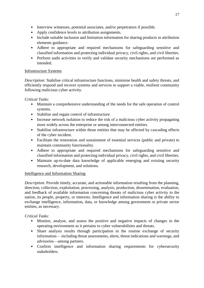- Interview witnesses, potential associates, and/or perpetrators if possible.
- Apply confidence levels to attribution assignments.
- Include suitable inclusion and limitation information for sharing products in attribution elements guidance.
- Adhere to appropriate and required mechanisms for safeguarding sensitive and classified information and protecting individual privacy, civil rights, and civil liberties.
- Perform audit activities to verify and validate security mechanisms are performed as intended.

# Infrastructure Systems

*Description:* Stabilise critical infrastructure functions, minimise health and safety threats, and efficiently respond and recover systems and services to support a viable, resilient community following malicious cyber activity.

*Critical Tasks:* 

- Maintain a comprehensive understanding of the needs for the safe operation of control systems.
- Stabilise and regain control of infrastructure.
- Increase network isolation to reduce the risk of a malicious cyber activity propagating more widely across the enterprise or among interconnected entities.
- Stabilise infrastructure within those entities that may be affected by cascading effects of the cyber incident.
- Facilitate the restoration and sustainment of essential services (public and private) to maintain community functionality.
- Adhere to appropriate and required mechanisms for safeguarding sensitive and classified information and protecting individual privacy, civil rights, and civil liberties.
- Maintain up-to-date data knowledge of applicable emerging and existing security research, development, and solutions.

## Intelligence and Information Sharing

*Description*: Provide timely, accurate, and actionable information resulting from the planning, direction, collection, exploitation, processing, analysis, production, dissemination, evaluation, and feedback of available information concerning threats of malicious cyber activity to the nation, its people, property, or interests. Intelligence and information sharing is the ability to exchange intelligence, information, data, or knowledge among government or private sector entities, as necessary.

- Monitor, analyse, and assess the positive and negative impacts of changes in the operating environment as it pertains to cyber vulnerabilities and threats.
- Share analysis results through participation in the routine exchange of security information— including threat assessments, alerts, threat indications and warnings, and advisories—among partners.
- Confirm intelligence and information sharing requirements for cybersecurity stakeholders.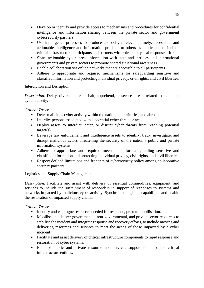- Develop or identify and provide access to mechanisms and procedures for confidential intelligence and information sharing between the private sector and government cybersecurity partners.
- Use intelligence processes to produce and deliver relevant, timely, accessible, and actionable intelligence and information products to others as applicable, to include critical infrastructure participants and partners with roles in physical response efforts.
- Share actionable cyber threat information with state and territory and international governments and private sectors to promote shared situational awareness.
- Enable collaboration via online networks that are accessible to all participants.
- Adhere to appropriate and required mechanisms for safeguarding sensitive and classified information and protecting individual privacy, civil rights, and civil liberties.

# Interdiction and Disruption

*Description:* Delay, divert, intercept, halt, apprehend, or secure threats related to malicious cyber activity.

# *Critical Tasks:*

- Deter malicious cyber activity within the nation, its territories, and abroad.
- Interdict persons associated with a potential cyber threat or act.
- Deploy assets to interdict, deter, or disrupt cyber threats from reaching potential target(s).
- Leverage law enforcement and intelligence assets to identify, track, investigate, and disrupt malicious actors threatening the security of the nation's public and private information systems.
- Adhere to appropriate and required mechanisms for safeguarding sensitive and classified information and protecting individual privacy, civil rights, and civil liberties.
- Respect defined limitations and frontiers of cybersecurity policy among collaborative security partners.

## Logistics and Supply Chain Management

*Description*: Facilitate and assist with delivery of essential commodities, equipment, and services to include the sustainment of responders in support of responses to systems and networks impacted by malicious cyber activity. Synchronise logistics capabilities and enable the restoration of impacted supply chains.

- Identify and catalogue resources needed for response, prior to mobilisation.
- Mobilise and deliver governmental, non-governmental, and private sector resources to stabilise the incident and integrate response and recovery efforts, to include moving and delivering resources and services to meet the needs of those impacted by a cyber incident.
- Facilitate and assist delivery of critical infrastructure components to rapid response and restoration of cyber systems.
- Enhance public and private resource and services support for impacted critical infrastructure entities.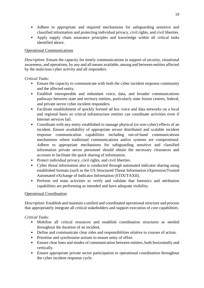- Adhere to appropriate and required mechanisms for safeguarding sensitive and classified information and protecting individual privacy, civil rights, and civil liberties.
- Apply supply chain assurance principles and knowledge within all critical tasks identified above.

## Operational Communications

*Description*: Ensure the capacity for timely communications in support of security, situational awareness, and operations, by any and all means available, among and between entities affected by the malicious cyber activity and all responders.

# *Critical Tasks:*

- Ensure the capacity to communicate with both the cyber incident response community and the affected entity.
- Establish interoperable and redundant voice, data, and broader communications pathways between state and territory entities, particularly state fusion centres, federal, and private sector cyber incident responders.
- Facilitate establishment of quickly formed ad hoc voice and data networks on a local and regional basis so critical infrastructure entities can coordinate activities even if Internet services fail.
- Coordinate with any entity established to manage physical (or non-cyber) effects of an incident. Ensure availability of appropriate secure distributed and scalable incident response communication capabilities including out-of-band communications mechanisms where traditional communications and/or systems are compromised. Adhere to appropriate mechanisms for safeguarding sensitive and classified information private sector personnel should obtain the necessary clearances and accesses to facilitate the quick sharing of information.
- Protect individual privacy, civil rights, and civil liberties.
- Cyber threat information also is conducted through automated indicator sharing using established formats (such as the US Structured Threat Information eXpression/Trusted Automated eXchange of Indicator Information (STIX/TAXII).
- Perform red team activities to verify and validate that forensics and attribution capabilities are performing as intended and have adequate visibility.

## Operational Coordination

*Description*: Establish and maintain a unified and coordinated operational structure and process that appropriately integrate all critical stakeholders and support execution of core capabilities.

- Mobilise all critical resources and establish coordination structures as needed throughout the duration of an incident.
- Define and communicate clear roles and responsibilities relative to courses of action.
- Prioritise and synchronise actions to ensure unity of effort.
- Ensure clear lines and modes of communication between entities, both horizontally and vertically.
- Ensure appropriate private sector participation in operational coordination throughout the cyber incident response cycle.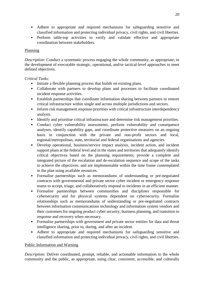- Adhere to appropriate and required mechanisms for safeguarding sensitive and classified information and protecting individual privacy, civil rights, and civil liberties.
- Perform table-top activities to verify and validate effective and appropriate coordination between stakeholders.

## Planning

*Description*: Conduct a systematic process engaging the whole community, as appropriate, in the development of executable strategic, operational, and/or tactical-level approaches to meet defined objectives.

# *Critical Tasks:*

- Initiate a flexible planning process that builds on existing plans.
- Collaborate with partners to develop plans and processes to facilitate coordinated incident response activities.
- Establish partnerships that coordinate information sharing between partners to restore critical infrastructure within single and across multiple jurisdictions and sectors.
- Inform risk management response priorities with critical infrastructure interdependency analysis.
- Identify and prioritise critical infrastructure and determine risk management priorities.
- Conduct cyber vulnerability assessments, perform vulnerability and consequence analyses, identify capability gaps, and coordinate protective measures on an ongoing basis in conjunction with the private and non-profit sectors and local, regional/metropolitan, state, territorial and federal organisations and agencies.
- Develop operational, business/service impact analysis, incident action, and incident support plans at the federal level and in the states and territories that adequately identify critical objectives based on the planning requirements; provide a complete and integrated picture of the escalation and de-escalation sequence and scope of the tasks to achieve the objectives; and are implementable within the time frame contemplated in the plan using available resources.
- Formalise partnerships such as memorandums of understanding or pre-negotiated contracts with governmental and private sector cyber incident or emergency response teams to accept, triage, and collaboratively respond to incidents in an efficient manner.
- Formalise partnerships between communities and disciplines responsible for cybersecurity and for physical systems dependent on cybersecurity. Formalise relationships such as memorandums of understanding or pre-negotiated contracts between information communications technology and information system vendors and their customers for ongoing product cyber security, business planning, and transition to response and recovery when necessary.
- Formalise partnerships with government and private sector entities for data and threat intelligence sharing, prior to, during, and after an incident.
- Adhere to appropriate and required mechanisms for safeguarding sensitive and classified information and protecting individual privacy, civil rights, and civil liberties.

## Public Information and Warning

*Description*: Deliver coordinated, prompt, reliable, and actionable information to the whole community and the public, as appropriate, using clear, consistent, accessible, and culturally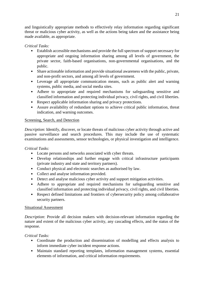and linguistically appropriate methods to effectively relay information regarding significant threat or malicious cyber activity, as well as the actions being taken and the assistance being made available, as appropriate.

# *Critical Tasks:*

- Establish accessible mechanisms and provide the full spectrum of support necessary for appropriate and ongoing information sharing among all levels of government, the private sector, faith-based organisations, non-governmental organisations, and the public.
- Share actionable information and provide situational awareness with the public, private, and non-profit sectors, and among all levels of government.
- Leverage all appropriate communication means, such as public alert and warning systems, public media, and social media sites.
- Adhere to appropriate and required mechanisms for safeguarding sensitive and classified information and protecting individual privacy, civil rights, and civil liberties.
- Respect applicable information sharing and privacy protections.
- Assure availability of redundant options to achieve critical public information, threat indication, and warning outcomes.

#### Screening, Search, and Detection

*Description*: Identify, discover, or locate threats of malicious cyber activity through active and passive surveillance and search procedures. This may include the use of systematic examinations and assessments, sensor technologies, or physical investigation and intelligence.

## *Critical Tasks:*

- Locate persons and networks associated with cyber threats.
- Develop relationships and further engage with critical infrastructure participants (private industry and state and territory partners).
- Conduct physical and electronic searches as authorised by law.
- Collect and analyse information provided.
- Detect and analyse malicious cyber activity and support mitigation activities.
- Adhere to appropriate and required mechanisms for safeguarding sensitive and classified information and protecting individual privacy, civil rights, and civil liberties.
- Respect defined limitations and frontiers of cybersecurity policy among collaborative security partners.

## Situational Assessment

*Description*: Provide all decision makers with decision-relevant information regarding the nature and extent of the malicious cyber activity, any cascading effects, and the status of the response.

- Coordinate the production and dissemination of modelling and effects analysis to inform immediate cyber incident response actions.
- Maintain standard reporting templates, information management systems, essential elements of information, and critical information requirements.